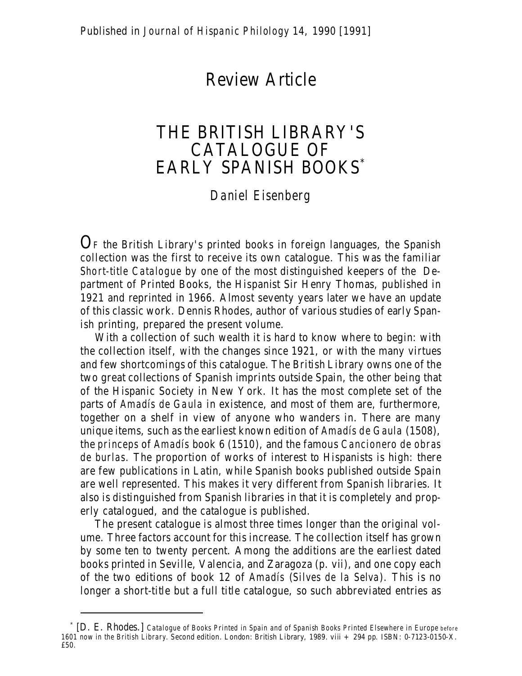## Review Article

## THE BRITISH LIBRARY'S CATALOGUE OF EARLY SPANISH BOOKS\*

## *Daniel Eisenberg*

 $\mathbf{O}_\text{F}$  the British Library's printed books in foreign languages, the Spanish collection was the first to receive its own catalogue. This was the familiar *Short-title Catalogue* by one of the most distinguished keepers of the Department of Printed Books, the Hispanist Sir Henry Thomas, published in 1921 and reprinted in 1966. Almost seventy years later we have an update of this classic work. Dennis Rhodes, author of various studies of early Spanish printing, prepared the present volume.

With a collection of such wealth it is hard to know where to begin: with the collection itself, with the changes since 1921, or with the many virtues and few shortcomings of this catalogue. The British Library owns one of the two great collections of Spanish imprints outside Spain, the other being that of the Hispanic Society in New York. It has the most complete set of the parts of *Amadís de Gaula* in existence, and most of them are, furthermore, together on a shelf in view of anyone who wanders in. There are many unique items, such as the earliest known edition of *Amadís de Gaula* (1508), the *princeps* of *Amadís* book 6 (1510), and the famous *Cancionero de obras de burlas.* The proportion of works of interest to Hispanists is high: there are few publications in Latin, while Spanish books published outside Spain are well represented. This makes it very different from Spanish libraries. It also is distinguished from Spanish libraries in that it is completely and properly catalogued, and the catalogue is published.

The present catalogue is almost three times longer than the original volume. Three factors account for this increase. The collection itself has grown by some ten to twenty percent. Among the additions are the earliest dated books printed in Seville, Valencia, and Zaragoza (p. vii), and one copy each of the two editions of book 12 of *Amadís* (*Silves de la Selva*). This is no longer a short-title but a full title catalogue, so such abbreviated entries as

<sup>\*</sup> [D. E. Rhodes.] *Catalogue of Books Printed in Spain and of Spanish Books Printed Elsewhere in Europe before 1601 now in the British Library.* Second edition. London: British Library, 1989. viii + 294 pp. ISBN: 0-7123-0150-X. £50.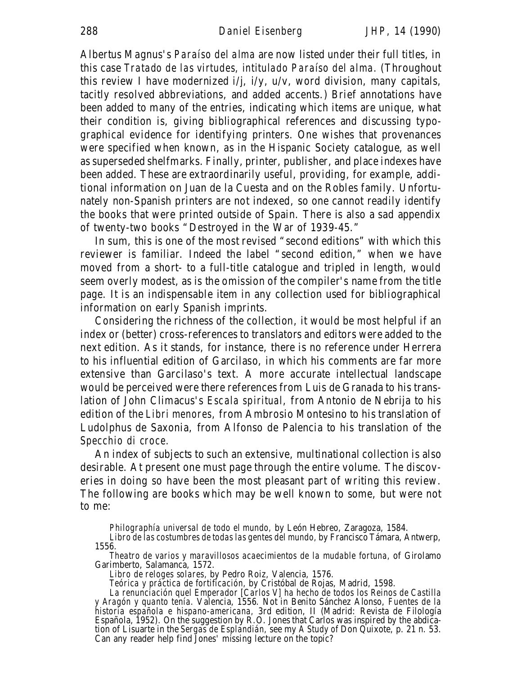Albertus Magnus's *Paraíso del alma* are now listed under their full titles, in this case *Tratado de las virtudes, intitulado Paraíso del alma.* (Throughout this review I have modernized i/j, i/y, u/v, word division, many capitals, tacitly resolved abbreviations, and added accents.) Brief annotations have been added to many of the entries, indicating which items are unique, what their condition is, giving bibliographical references and discussing typographical evidence for identifying printers. One wishes that provenances were specified when known, as in the Hispanic Society catalogue, as well as superseded shelfmarks. Finally, printer, publisher, and place indexes have been added. These are extraordinarily useful, providing, for example, additional information on Juan de la Cuesta and on the Robles family. Unfortunately non-Spanish printers are not indexed, so one cannot readily identify the books that were printed outside of Spain. There is also a sad appendix of twenty-two books "Destroyed in the War of 1939-45."

In sum, this is one of the most revised "second editions" with which this reviewer is familiar. Indeed the label "second edition," when we have moved from a short- to a full-title catalogue and tripled in length, would seem overly modest, as is the omission of the compiler's name from the title page. It is an indispensable item in any collection used for bibliographical information on early Spanish imprints.

Considering the richness of the collection, it would be most helpful if an index or (better) cross-references to translators and editors were added to the next edition. As it stands, for instance, there is no reference under Herrera to his influential edition of Garcilaso, in which his comments are far more extensive than Garcilaso's text. A more accurate intellectual landscape would be perceived were there references from Luis de Granada to his translation of John Climacus's *Escala spiritual,* from Antonio de Nebrija to his edition of the *Libri menores,* from Ambrosio Montesino to his translation of Ludolphus de Saxonia, from Alfonso de Palencia to his translation of the *Specchio di croce.*

An index of subjects to such an extensive, multinational collection is also desirable. At present one must page through the entire volume. The discoveries in doing so have been the most pleasant part of writing this review. The following are books which may be well known to some, but were not to me:

*Philographía universal de todo el mundo,* by León Hebreo, Zaragoza, 1584.

*Theatro de varios y maravillosos acaecimientos de la mudable fortuna,* of Girolamo Garimberto, Salamanca, 1572.

*Libro de reloges solares,* by Pedro Roiz, Valencia, 1576.

*Teórica y práctica de fortificación,* by Cristóbal de Rojas, Madrid, 1598.

*Libro de las costumbres de todas las gentes del mundo,* by Francisco Támara, Antwerp, 1556.

*La renunciación quel Emperador [Carlos V] ha hecho de todos los Reinos de Castilla y Aragón y quanto tenía.* Valencia, 1556. Not in Benito Sánchez Alonso, *Fuentes de la historia española e hispano-americana,* 3rd edition, II (Madrid: Revista de Filología Española, 1952). On the suggestion by R.O. Jones that Carlos was inspired by the abdication of Lisuarte in the *Sergas de Esplandián,* see my *A Study of* Don Quixote, p. 21 n. 53. Can any reader help find Jones' missing lecture on the topic?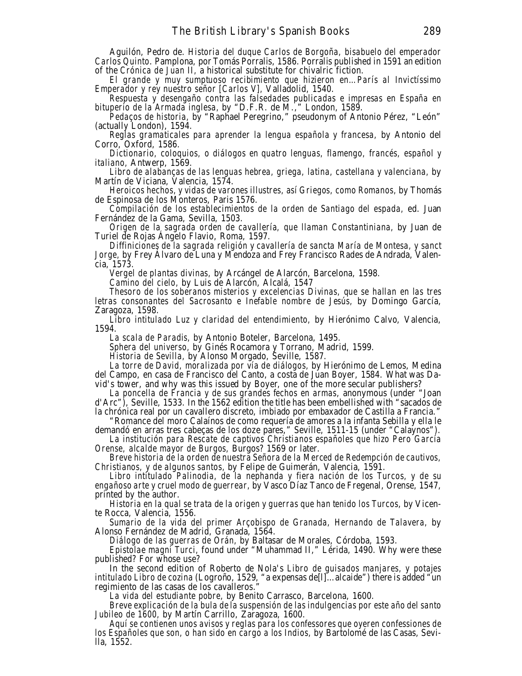Aguilón, Pedro de. *Historia del duque Carlos de Borgoña, bisabuelo del emperador Carlos Quinto*. Pamplona, por Tomás Porralis, 1586. Porralis published in 1591 an edition of the *Crónica de Juan II,* a historical substitute for chivalric fiction.

*El grande y muy sumptuoso recibimiento que hizieron en…París al Invictíssimo Emperador y rey nuestro señor [Carlos V],* Valladolid, 1540.

*Respuesta y desengaño contra las falsedades publicadas e impresas en España en bituperio de la Armada inglesa,* by "D.F.R. de M.," London, 1589.

*Pedaços de historia,* by "Raphael Peregrino," pseudonym of Antonio Pérez, "León" (actually London), 1594.

*Reglas gramaticales para aprender la lengua española y francesa,* by Antonio del Corro, Oxford, 1586.

*Dictionario, coloquios, o diálogos en quatro lenguas, flamengo, francés, español y italiano,* Antwerp, 1569.

*Libro de alabanças de las lenguas hebrea, griega, latina, castellana y valenciana,* by Martín de Viciana, Valencia, 1574.

*Heroicos hechos, y vidas de varones illustres, así Griegos, como Romanos,* by Thomás de Espinosa de los Monteros, Paris 1576.

*Compilación de los establecimientos de la orden de Santiago del espada,* ed. Juan Fernández de la Gama, Sevilla, 1503.

*Origen de la sagrada orden de cavallería, que llaman Constantiniana,* by Juan de Turiel de Rojas Ángelo Flavio, Roma, 1597.

*Diffiniciones de la sagrada religión y cavallería de sancta María de Montesa, y sanct Jorge,* by Frey Álvaro de Luna y Mendoza and Frey Francisco Rades de Andrada, Valencia, 1573.

*Vergel de plantas divinas,* by Arcángel de Alarcón, Barcelona, 1598.

*Camino del cielo,* by Luis de Alarcón, Alcalá, 1547

*Thesoro de los soberanos misterios y excelencias Divinas, que se hallan en las tres letras consonantes del Sacrosanto e Inefable nombre de Jesús,* by Domingo García, Zaragoza, 1598.

*Libro intitulado Luz y claridad del entendimiento,* by Hierónimo Calvo, Valencia, 1594.

*La scala de Paradis,* by Antonio Boteler, Barcelona, 1495.

*Sphera del universo,* by Ginés Rocamora y Torrano, Madrid, 1599.

*Historia de Sevilla,* by Alonso Morgado, Seville, 1587.

*La torre de David, moralizada por vía de diálogos,* by Hierónimo de Lemos, Medina del Campo, en casa de Francisco del Canto, a costa de Juan Boyer, 1584. What was David's tower, and why was this issued by Boyer, one of the more secular publishers?

*La poncella de Francia y de sus grandes fechos en armas*, anonymous (under "Joan d'Arc"), Seville, 1533. In the 1562 edition the title has been embellished with "sacados de la chrónica real por un cavallero discreto, imbiado por embaxador de Castilla a Francia."

"Romance del moro Calaínos de como requería de amores a la infanta Sebilla y ella le demandó en arras tres cabeças de los doze pares," Seville, 1511-15 (under "Calaynos").

*La institución para Rescate de captivos Christianos españoles que hizo Pero García Orense, alcalde mayor de Burgos,* Burgos? 1569 or later.

*Breve historia de la orden de nuestra Señora de la Merced de Redempción de cautivos, Christianos, y de algunos santos,* by Felipe de Guimerán, Valencia, 1591.

*Libro intitulado Palinodia, de la nephanda y fiera nación de los Turcos, y de su engañoso arte y cruel modo de guerrear,* by Vasco Díaz Tanco de Fregenal, Orense, 1547, printed by the author.

*Historia en la qual se trata de la origen y guerras que han tenido los Turcos*, by Vicente Rocca, Valencia, 1556.

*Sumario de la vida del primer Arçobispo de Granada, Hernando de Talavera,* by Alonso Fernández de Madrid, Granada, 1564.

*Diálogo de las guerras de Orán,* by Baltasar de Morales, Córdoba, 1593.

*Epistolae magni Turci,* found under "Muhammad II," Lérida, 1490. Why were these published? For whose use?

In the second edition of Roberto de Nola's *Libro de guisados manjares, y potajes intitulado Libro de cozina* (Logroño, 1529, "a expensas de<sup>[]</sup>[...alcaide") there is added "un regimiento de las casas de los cavalleros."

*La vida del estudiante pobre,* by Benito Carrasco, Barcelona, 1600.

*Breve explicación de la bula de la suspensión de las indulgencias por este año del santo Jubileo de 1600,* by Martín Carrillo, Zaragoza, 1600.

*Aquí se contienen unos avisos y reglas para los confessores que oyeren confessiones de los Españoles que son, o han sido en cargo a los Indios,* by Bartolomé de las Casas, Sevilla, 1552.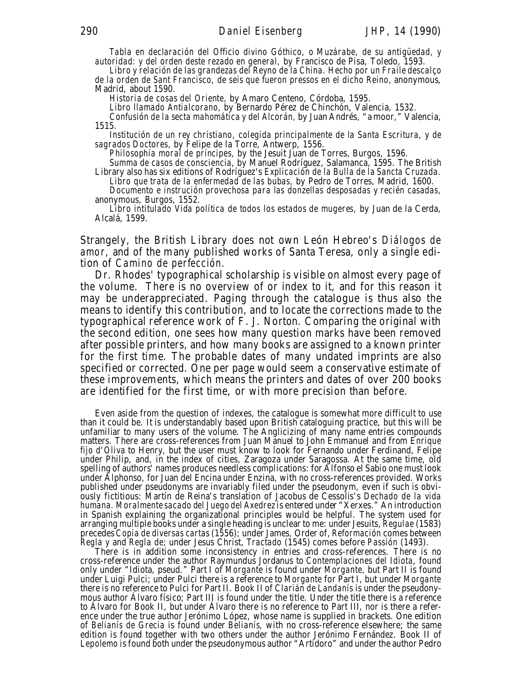*Tabla en declaración del Officio divino Góthico, o Muzárabe, de su antigüedad, y autoridad: y del orden deste rezado en general,* by Francisco de Pisa, Toledo, 1593.

*Libro y relación de las grandezas del Reyno de la China. Hecho por un Fraile descalço de la orden de Sant Francisco, de seis que fueron pressos en el dicho Reino,* anonymous, Madrid, about 1590.

*Historia de cosas del Oriente,* by Amaro Centeno, Córdoba, 1595.

*Libro llamado Antialcorano,* by Bernardo Pérez de Chinchón, Valencia, 1532.

*Confusión de la secta mahomática y del Alcorán,* by Juan Andrés, "a moor," Valencia, 1515.

*Institución de un rey christiano, colegida principalmente de la Santa Escritura, y de sagrados Doctores,* by Felipe de la Torre, Antwerp, 1556.

*Philosophía moral de príncipes,* by the Jesuit Juan de Torres, Burgos, 1596.

*Summa de casos de consciencia*, by Manuel Rodríguez, Salamanca, 1595. The British Library also has six editions of Rodríguez's *Explicación de la Bulla de la Sancta Cruzada. Libro que trata de la enfermedad de las bubas,* by Pedro de Torres, Madrid, 1600.

*Documento e instrución provechosa para las donzellas desposadas y recién casadas,* anonymous, Burgos, 1552.

*Libro intitulado Vida política de todos los estados de mugeres,* by Juan de la Cerda, Alcalá, 1599.

Strangely, the British Library does not own León Hebreo's *Diálogos de amor,* and of the many published works of Santa Teresa, only a single edition of *Camino de perfección.*

Dr. Rhodes' typographical scholarship is visible on almost every page of the volume. There is no overview of or index to it, and for this reason it may be underappreciated. Paging through the catalogue is thus also the means to identify this contribution, and to locate the corrections made to the typographical reference work of F. J. Norton. Comparing the original with the second edition, one sees how many question marks have been removed after possible printers, and how many books are assigned to a known printer for the first time. The probable dates of many undated imprints are also specified or corrected. One per page would seem a conservative estimate of these improvements, which means the printers and dates of over 200 books are identified for the first time, or with more precision than before.

Even aside from the question of indexes, the catalogue is somewhat more difficult to use than it could be. It is understandably based upon British cataloguing practice, but this will be unfamiliar to many users of the volume. The Anglicizing of many name entries compounds matters. There are cross-references from Juan Manuel to John Emmanuel and from *Enrique fijo d'Oliva* to Henry, but the user must know to look for Fernando under Ferdinand, Felipe under Philip, and, in the index of cities, Zaragoza under Saragossa. At the same time, old spelling of authors' names produces needless complications: for Alfonso el Sabio one must look under Alphonso, for Juan del Encina under Enzina, with no cross-references provided. Works published under pseudonyms are invariably filed under the pseudonym, even if such is obviously fictitious: Martín de Reina's translation of Jacobus de Cessolis's *Dechado de la vida humana. Moralmente sacado del Juego del Axedrez* is entered under "Xerxes." An introduction in Spanish explaining the organizational principles would be helpful. The system used for arranging multiple books under a single heading is unclear to me: under Jesuits, *Regulae* (1583) precedes *Copia de diversas cartas* (1556); under James, Order of, *Reformación* comes between *Regla y* and *Regla de;* under Jesus Christ, *Tractado* (1545) comes before *Passión* (1493).

There is in addition some inconsistency in entries and cross-references. There is no cross-reference under the author Raymundus Jordanus to *Contemplaciones del Idiota*, found only under "Idiota, pseud." Part I of *Morgante* is found under *Morgante,* but Part II is found under Luigi Pulci; under Pulci there is a reference to *Morgante* for Part I, but under *Morgante* there is no reference to Pulci for Part II. Book II of *Clarián de Landanís* is under the pseudonymous author Álvaro físico; Part III is found under the title. Under the title there is a reference to Álvaro for Book II, but under Álvaro there is no reference to Part III, nor is there a reference under the true author Jerónimo López, whose name is supplied in brackets. One edition of *Belianís de Grecia* is found under *Belianís,* with no cross-reference elsewhere; the same edition is found together with two others under the author Jerónimo Fernández. Book II of *Lepolemo* is found both under the pseudonymous author "Artidoro" and under the author Pedro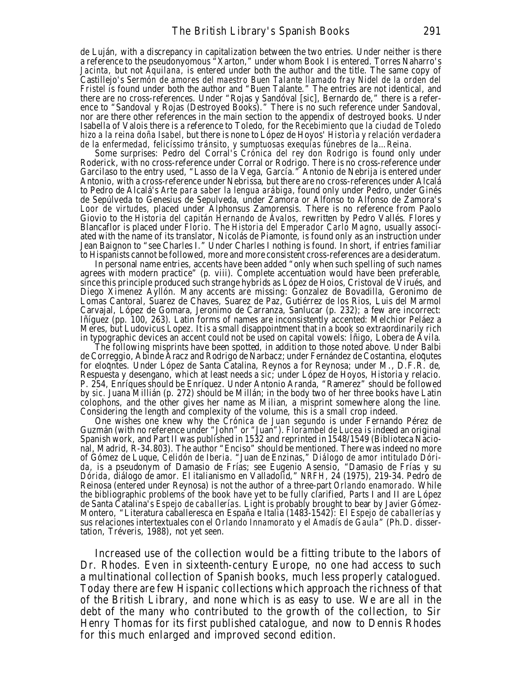de Luján, with a discrepancy in capitalization between the two entries. Under neither is there a reference to the pseudonyomous "Xarton," under whom Book I is entered. Torres Naharro's *Jacinta,* but not *Aquilana,* is entered under both the author and the title. The same copy of Castillejo's *Sermón de amores del maestro Buen Talante llamado fray Nidel de la orden del Fristel* is found under both the author and "Buen Talante." The entries are not identical, and there are no cross-references. Under "Rojas y Sandóval [sic], Bernardo de," there is a reference to "Sandoval y Rojas (Destroyed Books)." There is no such reference under Sandoval, nor are there other references in the main section to the appendix of destroyed books. Under Isabella of Valois there is a reference to Toledo, for the *Recebimiento que la ciudad de Toledo hizo a la reina doña Isabel,* but there is none to López de Hoyos' *Historia y relación verdadera de la enfermedad, felicíssimo tránsito, y sumptuosas exequías fúnebres de la…Reina.*

Some surprises: Pedro del Corral's *Crónica del rey don Rodrigo* is found only under Roderick, with no cross-reference under Corral or Rodrigo. There is no cross-reference under Garcilaso to the entry used, "Lasso de la Vega, García." Antonio de Nebrija is entered under Antonio, with a cross-reference under Nebrissa, but there are no cross-references under Alcalá to Pedro de Alcalá's *Arte para saber la lengua arábiga,* found only under Pedro, under Ginés de Sepúlveda to Genesius de Sepulveda, under Zamora or Alfonso to Alfonso de Zamora's *Loor de virtudes,* placed under Alphonsus Zamorensis. There is no reference from Paolo Giovio to the *Historia del capitán Hernando de Ávalos,* rewritten by Pedro Vallés. Flores y Blancaflor is placed under *Florio*. The *Historia del Emperador Carlo Magno*, usually associated with the name of its translator, Nicolás de Piamonte, is found only as an instruction under Jean Baignon to "see Charles I." Under Charles I nothing is found. In short, if entries familiar to Hispanists cannot be followed, more and more consistent cross-references are a desideratum.

In personal name entries, accents have been added "only when such spelling of such names agrees with modern practice" (p. viii). Complete accentuation would have been preferable, since this principle produced such strange hybrids as López de Hoios, Cristoval de Virués, and Diego Ximenez Ayllón. Many accents are missing: Gonzalez de Bovadilla, Geronimo de Lomas Cantoral, Suarez de Chaves, Suarez de Paz, Gutiérrez de los Rios, Luis del Marmol Carvajal, López de Gomara, Jeronimo de Carranza, Sanlucar (p. 232); a few are incorrect: Iñíguez (pp. 100, 263). Latin forms of names are inconsistently accented: Melchior Peláez a Meres, but Ludovicus Lopez. It is a small disappointment that in a book so extraordinarily rich in typographic devices an accent could not be used on capital vowels: Íñigo, Lobera de Ávila.

The following misprints have been spotted, in addition to those noted above. Under Balbi de Correggio, Abinde Aracz and Rodrigo de Narbacz; under Fernández de Costantina, eloqutes for eloquies. Under López de Santa Catalina, Reynos a for Reynosa; under M., D.F.R. de, Respuesta y desengano, which at least needs a *sic*; under López de Hoyos, Historia y relacio. P. 254, Enríques should be Enríquez. Under Antonio Aranda, "Ramerez" should be followed by *sic.* Juana Millián (p. 272) should be Millán; in the body two of her three books have Latin colophons, and the other gives her name as Milian, a misprint somewhere along the line. Considering the length and complexity of the volume, this is a small crop indeed.

One wishes one knew why the *Crónica de Juan segundo* is under Fernando Pérez de Guzmán (with no reference under "John" or "Juan"). *Florambel de Lucea* is indeed an original Spanish work, and Part II was published in 1532 and reprinted in 1548/1549 (Biblioteca Nacional, Madrid, R-34.803). The author "Enciso" should be mentioned. There was indeed no more of Gómez de Luque, *Celidón de Iberia.* "Juan de Enzinas," *Diálogo de amor intitulado Dórida,* is a pseudonym of Damasio de Frías; see Eugenio Asensio, "Damasio de Frías y su *Dórida*, diálogo de amor. El italianismo en Valladolid," *NRFH,* 24 (1975), 219-34. Pedro de Reinosa (entered under Reynosa) is not the author of a three-part *Orlando enamorado.* While the bibliographic problems of the book have yet to be fully clarified, Parts I and II are López de Santa Catalina's *Espejo de caballerías.* Light is probably brought to bear by Javier Gómez-Montero, "Literatura caballeresca en España e Italia (1483-1542): El *Espejo de caballerías* y sus relaciones intertextuales con el *Orlando Innamorato* y el *Amadís de Gaula*" (Ph.D. dissertation, Tréveris, 1988), not yet seen.

Increased use of the collection would be a fitting tribute to the labors of Dr. Rhodes. Even in sixteenth-century Europe, no one had access to such a multinational collection of Spanish books, much less properly catalogued. Today there are few Hispanic collections which approach the richness of that of the British Library, and none which is as easy to use. We are all in the debt of the many who contributed to the growth of the collection, to Sir Henry Thomas for its first published catalogue, and now to Dennis Rhodes for this much enlarged and improved second edition.